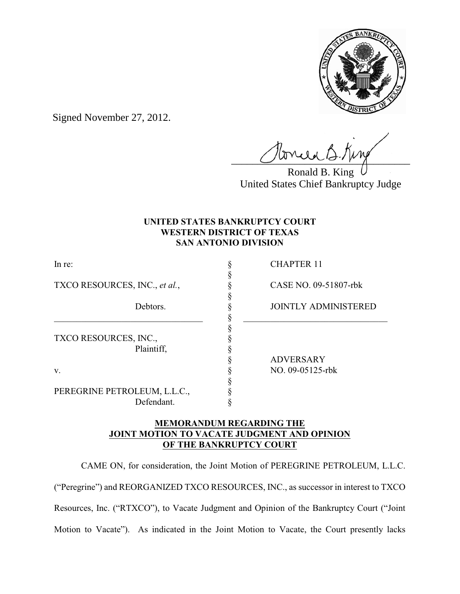

Signed November 27, 2012.

 $U$ uraac $U$ 

Ronald B. King United States Chief Bankruptcy Judge

# **UNITED STATES BANKRUPTCY COURT WESTERN DISTRICT OF TEXAS SAN ANTONIO DIVISION**

§

§

 $\S$   $\qquad \qquad$   $\qquad$   $\qquad$   $\qquad$   $\qquad$   $\qquad$   $\qquad$   $\qquad$   $\qquad$   $\qquad$   $\qquad$   $\qquad$   $\qquad$   $\qquad$   $\qquad$   $\qquad$   $\qquad$   $\qquad$   $\qquad$   $\qquad$   $\qquad$   $\qquad$   $\qquad$   $\qquad$   $\qquad$   $\qquad$   $\qquad$   $\qquad$   $\qquad$   $\qquad$   $\qquad$   $\qquad$   $\qquad$   $\qquad$   $\qquad$   $\qquad$ §

TXCO RESOURCES, INC., *et al.*, § CASE NO. 09-51807-rbk

TXCO RESOURCES, INC., § Plaintiff,  $\S$ 

PEREGRINE PETROLEUM, L.L.C., § Defendant. §

In re: S CHAPTER 11

Debtors.  $\S$  JOINTLY ADMINISTERED

§ ADVERSARY v. § NO. 09-05125-rbk

### **MEMORANDUM REGARDING THE JOINT MOTION TO VACATE JUDGMENT AND OPINION OF THE BANKRUPTCY COURT**

§

CAME ON, for consideration, the Joint Motion of PEREGRINE PETROLEUM, L.L.C. ("Peregrine") and REORGANIZED TXCO RESOURCES, INC., as successor in interest to TXCO Resources, Inc. ("RTXCO"), to Vacate Judgment and Opinion of the Bankruptcy Court ("Joint Motion to Vacate"). As indicated in the Joint Motion to Vacate, the Court presently lacks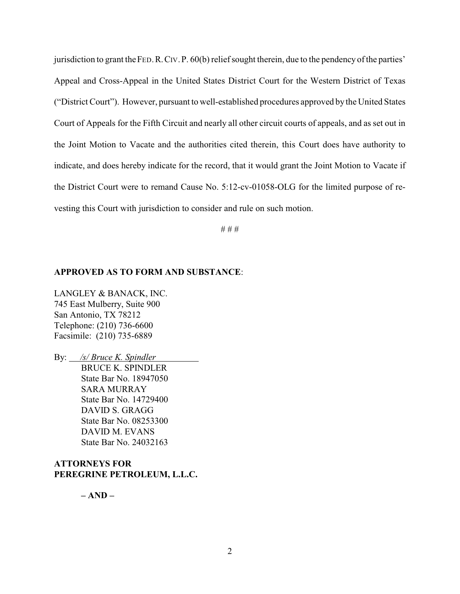jurisdiction to grant theFED.R.CIV.P. 60(b) reliefsought therein, due to the pendency of the parties' Appeal and Cross-Appeal in the United States District Court for the Western District of Texas ("District Court"). However, pursuant to well-established procedures approved by the United States Court of Appeals for the Fifth Circuit and nearly all other circuit courts of appeals, and as set out in the Joint Motion to Vacate and the authorities cited therein, this Court does have authority to indicate, and does hereby indicate for the record, that it would grant the Joint Motion to Vacate if the District Court were to remand Cause No. 5:12-cv-01058-OLG for the limited purpose of revesting this Court with jurisdiction to consider and rule on such motion.

# # #

### **APPROVED AS TO FORM AND SUBSTANCE**:

LANGLEY & BANACK, INC. 745 East Mulberry, Suite 900 San Antonio, TX 78212 Telephone: (210) 736-6600 Facsimile: (210) 735-6889

By: */s/ Bruce K. Spindler*  BRUCE K. SPINDLER State Bar No. 18947050 SARA MURRAY State Bar No. 14729400 DAVID S. GRAGG State Bar No. 08253300 DAVID M. EVANS State Bar No. 24032163

#### **ATTORNEYS FOR PEREGRINE PETROLEUM, L.L.C.**

 **– AND –**